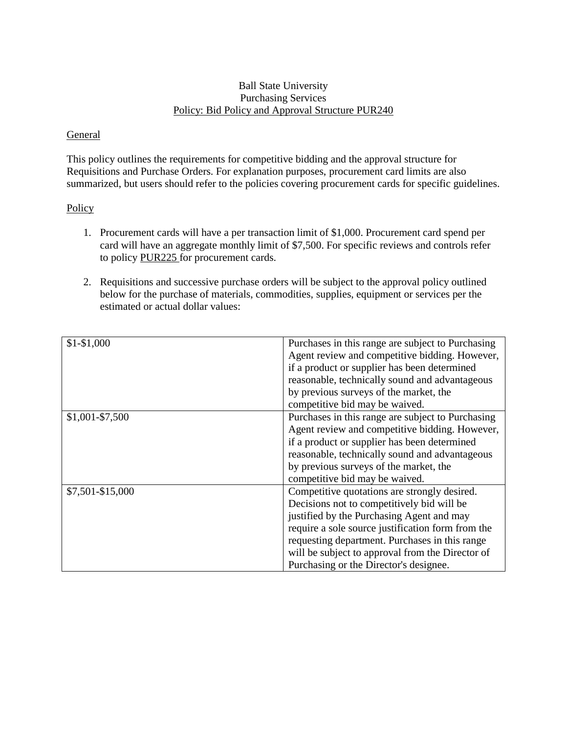## Ball State University Purchasing Services Policy: Bid Policy and Approval Structure PUR240

## General

This policy outlines the requirements for competitive bidding and the approval structure for Requisitions and Purchase Orders. For explanation purposes, procurement card limits are also summarized, but users should refer to the policies covering procurement cards for specific guidelines.

## **Policy**

- 1. Procurement cards will have a per transaction limit of \$1,000. Procurement card spend per card will have an aggregate monthly limit of \$7,500. For specific reviews and controls refer to policy PUR225 for procurement cards.
- 2. Requisitions and successive purchase orders will be subject to the approval policy outlined below for the purchase of materials, commodities, supplies, equipment or services per the estimated or actual dollar values:

| $$1-$1,000$       | Purchases in this range are subject to Purchasing<br>Agent review and competitive bidding. However,<br>if a product or supplier has been determined<br>reasonable, technically sound and advantageous<br>by previous surveys of the market, the<br>competitive bid may be waived.                                                            |
|-------------------|----------------------------------------------------------------------------------------------------------------------------------------------------------------------------------------------------------------------------------------------------------------------------------------------------------------------------------------------|
| $$1,001 - $7,500$ | Purchases in this range are subject to Purchasing<br>Agent review and competitive bidding. However,<br>if a product or supplier has been determined<br>reasonable, technically sound and advantageous<br>by previous surveys of the market, the<br>competitive bid may be waived.                                                            |
| \$7,501-\$15,000  | Competitive quotations are strongly desired.<br>Decisions not to competitively bid will be<br>justified by the Purchasing Agent and may<br>require a sole source justification form from the<br>requesting department. Purchases in this range<br>will be subject to approval from the Director of<br>Purchasing or the Director's designee. |